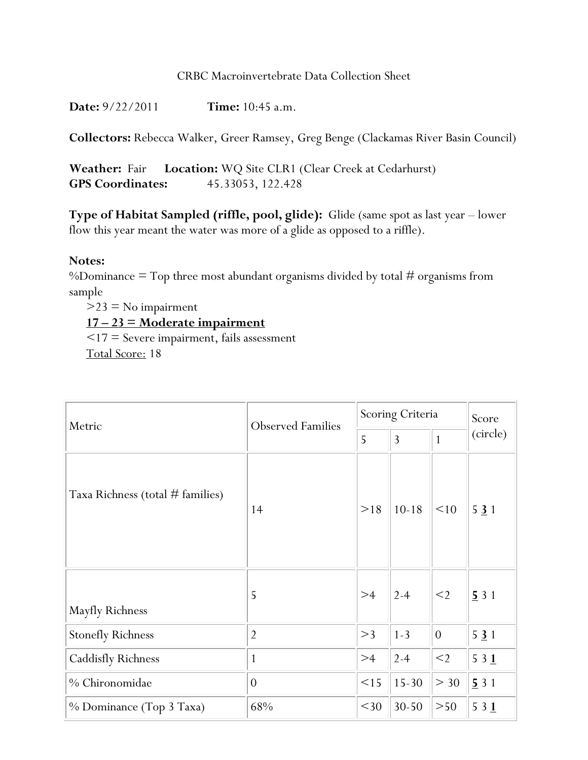**Date:** 9/22/2011 **Time:** 10:45 a.m.

**Collectors:** Rebecca Walker, Greer Ramsey, Greg Benge (Clackamas River Basin Council)

**Weather:** Fair **Location:** WQ Site CLR1 (Clear Creek at Cedarhurst) **GPS Coordinates:** 45.33053, 122.428

**Type of Habitat Sampled (riffle, pool, glide):** Glide (same spot as last year – lower flow this year meant the water was more of a glide as opposed to a riffle).

## **Notes:**

%Dominance  $=$  Top three most abundant organisms divided by total  $#$  organisms from sample

 $>23$  = No impairment **17 – 23 = Moderate impairment**  <17 = Severe impairment, fails assessment

Total Score: 18

| Metric                             | <b>Observed Families</b> | Scoring Criteria |                |                | Score    |
|------------------------------------|--------------------------|------------------|----------------|----------------|----------|
|                                    |                          | 5                | $\overline{3}$ | $\mathbf{1}$   | (circle) |
| Taxa Richness (total $#$ families) | 14                       | >18              | $10 - 18$      | <10            | 531      |
| Mayfly Richness                    | 5                        | >4               | $2 - 4$        | $<$ 2          | 531      |
| <b>Stonefly Richness</b>           | $\overline{2}$           | >3               | $1 - 3$        | $\overline{0}$ | 531      |
| <b>Caddisfly Richness</b>          | $\mathbf{1}$             | >4               | $2 - 4$        | $<$ 2          | 531      |
| % Chironomidae                     | $\theta$                 | <15              | $15-30$        | > 30           | 531      |
| % Dominance (Top 3 Taxa)           | 68%                      | $<$ 30           | $30 - 50$      | >50            | 531      |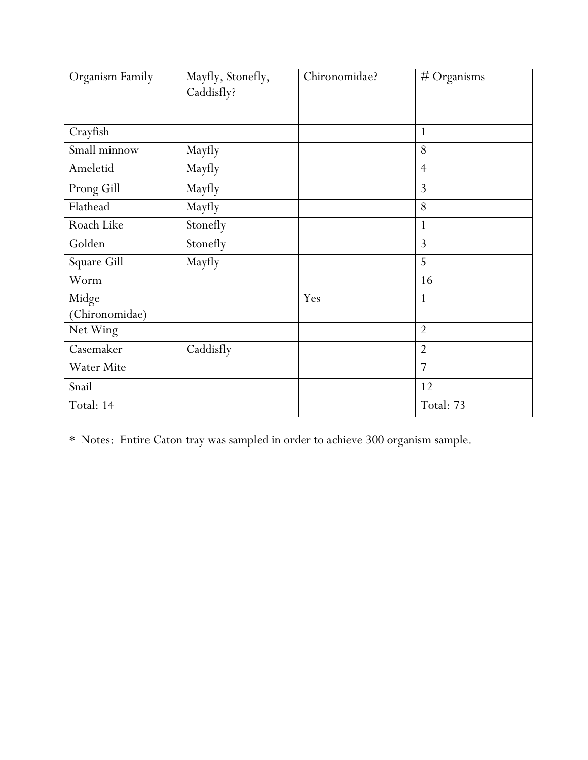| Organism Family | Mayfly, Stonefly, | Chironomidae? | $#$ Organisms  |
|-----------------|-------------------|---------------|----------------|
|                 | Caddisfly?        |               |                |
|                 |                   |               |                |
| Crayfish        |                   |               | 1              |
| Small minnow    | Mayfly            |               | 8              |
| Ameletid        | Mayfly            |               | $\overline{4}$ |
| Prong Gill      | Mayfly            |               | 3              |
| Flathead        | Mayfly            |               | 8              |
| Roach Like      | Stonefly          |               | 1              |
| Golden          | Stonefly          |               | 3              |
| Square Gill     | Mayfly            |               | 5              |
| Worm            |                   |               | 16             |
| Midge           |                   | Yes           | $\mathbf{1}$   |
| (Chironomidae)  |                   |               |                |
| Net Wing        |                   |               | $\overline{2}$ |
| Casemaker       | Caddisfly         |               | $\overline{2}$ |
| Water Mite      |                   |               | 7              |
| Snail           |                   |               | 12             |
| Total: 14       |                   |               | Total: 73      |

\* Notes: Entire Caton tray was sampled in order to achieve 300 organism sample.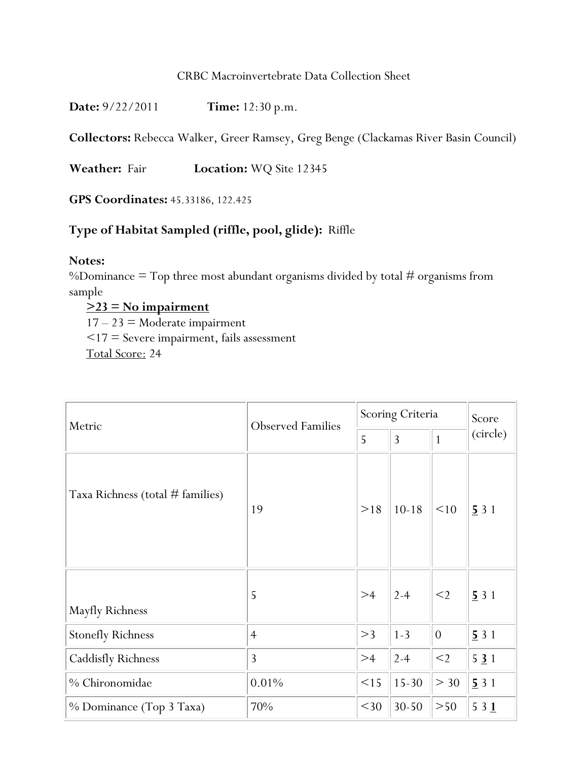| <b>Time:</b> $12:30 p.m.$ |
|---------------------------|
|                           |

**Collectors:** Rebecca Walker, Greer Ramsey, Greg Benge (Clackamas River Basin Council)

**Weather:** Fair **Location:** WQ Site 12345

**GPS Coordinates:** 45.33186, 122.425

# **Type of Habitat Sampled (riffle, pool, glide):** Riffle

## **Notes:**

%Dominance  $=$  Top three most abundant organisms divided by total  $#$  organisms from sample

**>23 = No impairment**   $17 - 23$  = Moderate impairment <17 = Severe impairment, fails assessment Total Score: 24

| Metric                             | <b>Observed Families</b> | Scoring Criteria |                |              | Score    |
|------------------------------------|--------------------------|------------------|----------------|--------------|----------|
|                                    |                          | 5                | $\overline{3}$ | $\mathbf{1}$ | (circle) |
| Taxa Richness (total $#$ families) | 19                       | >18              | $10 - 18$      | <10          | 531      |
| Mayfly Richness                    | 5                        | >4               | $2 - 4$        | $<$ 2        | 531      |
| <b>Stonefly Richness</b>           | $\overline{4}$           | >3               | $1 - 3$        | $\theta$     | 531      |
| Caddisfly Richness                 | 3                        | >4               | $2 - 4$        | $<$ 2        | 531      |
| % Chironomidae                     | 0.01%                    | <15              | $15-30$        | > 30         | 531      |
| % Dominance (Top 3 Taxa)           | 70%                      | $<$ 30           | $30 - 50$      | >50          | 531      |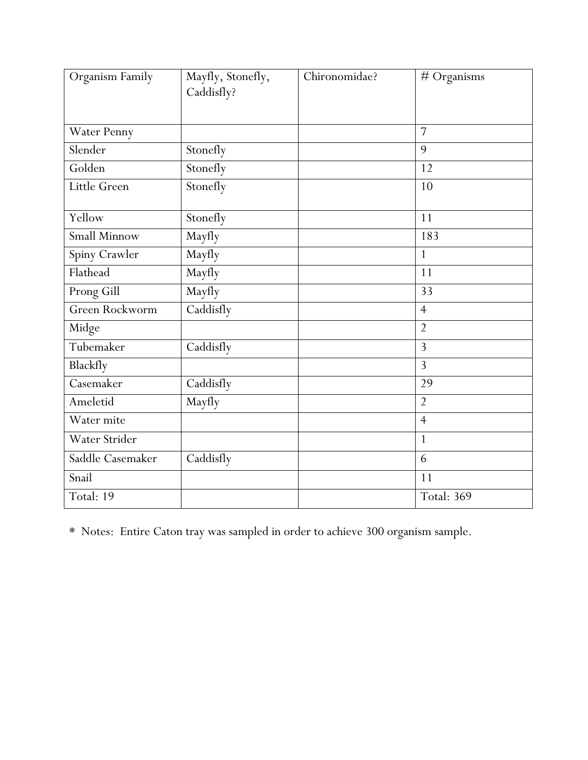| Organism Family  | Mayfly, Stonefly,<br>Caddisfly? | Chironomidae? | # Organisms    |
|------------------|---------------------------------|---------------|----------------|
|                  |                                 |               |                |
| Water Penny      |                                 |               | $\overline{7}$ |
| Slender          | Stonefly                        |               | 9              |
| Golden           | Stonefly                        |               | 12             |
| Little Green     | Stonefly                        |               | 10             |
| Yellow           | Stonefly                        |               | 11             |
| Small Minnow     | Mayfly                          |               | 183            |
| Spiny Crawler    | Mayfly                          |               | $\mathbf{1}$   |
| Flathead         | Mayfly                          |               | 11             |
| Prong Gill       | Mayfly                          |               | 33             |
| Green Rockworm   | Caddisfly                       |               | $\overline{4}$ |
| Midge            |                                 |               | $\overline{2}$ |
| Tubemaker        | Caddisfly                       |               | 3              |
| Blackfly         |                                 |               | 3              |
| Casemaker        | Caddisfly                       |               | 29             |
| Ameletid         | Mayfly                          |               | $\overline{2}$ |
| Water mite       |                                 |               | $\overline{4}$ |
| Water Strider    |                                 |               | $\mathbf{1}$   |
| Saddle Casemaker | Caddisfly                       |               | 6              |
| Snail            |                                 |               | 11             |
| Total: 19        |                                 |               | Total: 369     |

\* Notes: Entire Caton tray was sampled in order to achieve 300 organism sample.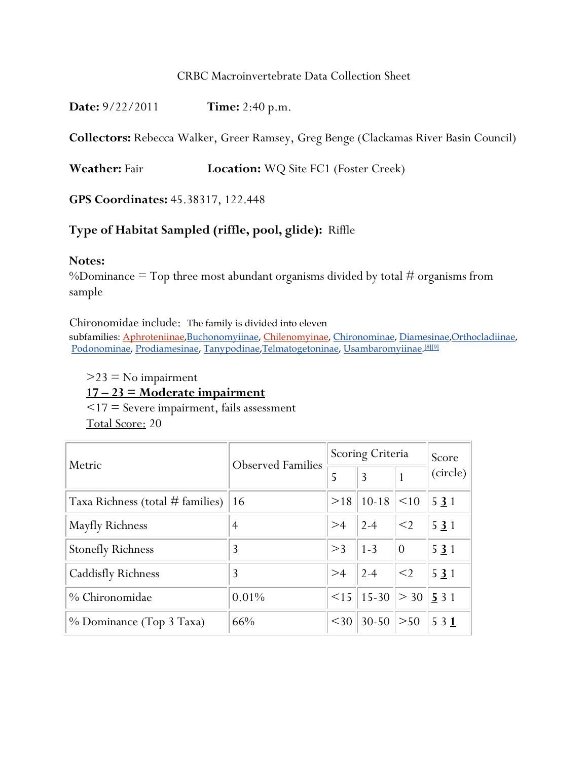**Collectors:** Rebecca Walker, Greer Ramsey, Greg Benge (Clackamas River Basin Council)

**Weather:** Fair **Location:** WQ Site FC1 (Foster Creek)

**GPS Coordinates:** 45.38317, 122.448

## **Type of Habitat Sampled (riffle, pool, glide):** Riffle

#### **Notes:**

%Dominance  $=$  Top three most abundant organisms divided by total  $#$  organisms from sample

Chironomidae include: The family is divided into eleven

subfamilies: Aphroteniinae,Buchonomyiinae, Chilenomyinae, Chironominae, Diamesinae,Orthocladiinae, Podonominae, Prodiamesinae, Tanypodinae,Telmatogetoninae, Usambaromyiinae. [8][9]

 $>23$  = No impairment

**17 – 23 = Moderate impairment** 

<17 = Severe impairment, fails assessment

Total Score: 20

| Metric                           | <b>Observed Families</b> | Scoring Criteria |           |          | Score             |
|----------------------------------|--------------------------|------------------|-----------|----------|-------------------|
|                                  |                          | 5                | 3         |          | (circle)          |
| Taxa Richness (total # families) | 16                       | >18              | $10-18$   | <10      | 531               |
| Mayfly Richness                  | 4                        | >4               | $2 - 4$   | $\leq$ 2 | 531               |
| <b>Stonefly Richness</b>         | 3                        | >3               | $1 - 3$   | $\theta$ | 531               |
| Caddisfly Richness               | 3                        | >4               | $2 - 4$   | $<$ 2    | 531               |
| % Chironomidae                   | 0.01%                    | $\leq$ 15        | $ 15-30 $ | $>$ 30   | $\frac{5}{5}$ 3 1 |
| % Dominance (Top 3 Taxa)         | 66%                      | $30$             | $30-50$   | >50      | 5 3 1             |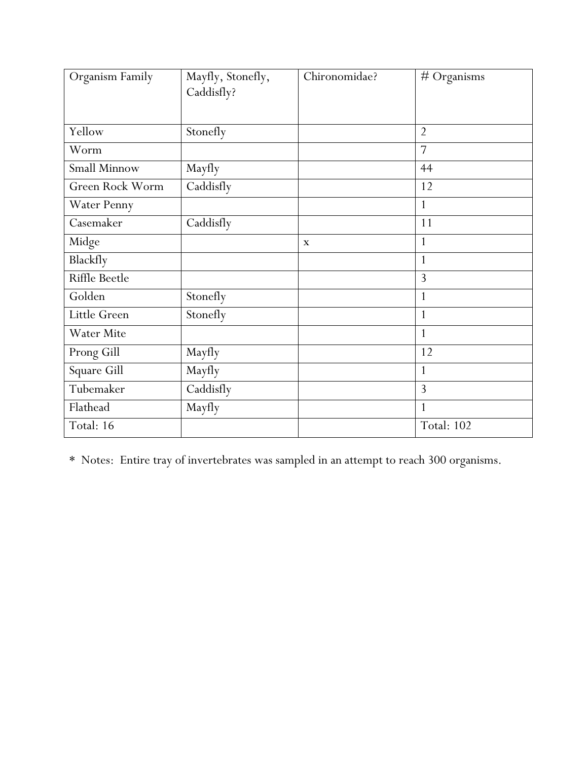| Organism Family        | Mayfly, Stonefly, | Chironomidae? | # Organisms    |
|------------------------|-------------------|---------------|----------------|
|                        | Caddisfly?        |               |                |
|                        |                   |               |                |
| Yellow                 | Stonefly          |               | $\overline{2}$ |
| Worm                   |                   |               | 7              |
| <b>Small Minnow</b>    | Mayfly            |               | 44             |
| <b>Green Rock Worm</b> | Caddisfly         |               | 12             |
| Water Penny            |                   |               | $\mathbf{1}$   |
| Casemaker              | Caddisfly         |               | 11             |
| Midge                  |                   | $\mathbf x$   | $\mathbf{1}$   |
| Blackfly               |                   |               | $\mathbf{1}$   |
| <b>Riffle Beetle</b>   |                   |               | 3              |
| Golden                 | Stonefly          |               | $\mathbf{1}$   |
| Little Green           | Stonefly          |               | $\mathbf{1}$   |
| <b>Water Mite</b>      |                   |               | $\mathbf{1}$   |
| Prong Gill             | Mayfly            |               | 12             |
| Square Gill            | Mayfly            |               | 1              |
| Tubemaker              | Caddisfly         |               | 3              |
| Flathead               | Mayfly            |               | $\mathbf{1}$   |
| Total: 16              |                   |               | Total: 102     |

\* Notes: Entire tray of invertebrates was sampled in an attempt to reach 300 organisms.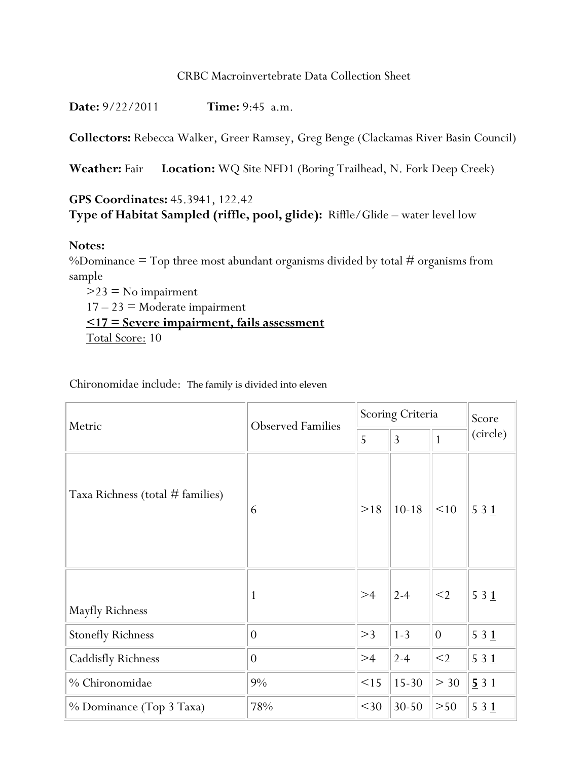**Date:** 9/22/2011 **Time:** 9:45 a.m.

**Collectors:** Rebecca Walker, Greer Ramsey, Greg Benge (Clackamas River Basin Council)

**Weather:** Fair **Location:** WQ Site NFD1 (Boring Trailhead, N. Fork Deep Creek)

# **GPS Coordinates:** 45.3941, 122.42 **Type of Habitat Sampled (riffle, pool, glide):** Riffle/Glide – water level low

## **Notes:**

%Dominance  $=$  Top three most abundant organisms divided by total  $#$  organisms from sample

 $>23$  = No impairment  $17 - 23$  = Moderate impairment **<17 = Severe impairment, fails assessment**  Total Score: 10

Chironomidae include: The family is divided into eleven

| Metric                             | <b>Observed Families</b> | Scoring Criteria |           |              | Score    |
|------------------------------------|--------------------------|------------------|-----------|--------------|----------|
|                                    |                          | 5                | 3         | $\mathbf{1}$ | (circle) |
| Taxa Richness (total $#$ families) | 6                        | >18              | $10 - 18$ | <10          | 531      |
| Mayfly Richness                    | 1                        | >4               | $2 - 4$   | $<$ 2        | 531      |
| <b>Stonefly Richness</b>           | $\theta$                 | >3               | $1 - 3$   | $\theta$     | 531      |
| <b>Caddisfly Richness</b>          | $\overline{0}$           | >4               | $2 - 4$   | $<$ 2        | 531      |
| % Chironomidae                     | 9%                       | <15              | $15 - 30$ | > 30         | 531      |
| % Dominance (Top 3 Taxa)           | 78%                      | $<$ 30           | $30 - 50$ | >50          | 531      |